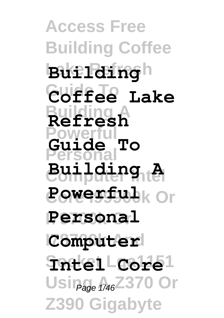**Access Free Building Coffee Lake Refresh Building Guide To Coffee Lake Building A Refresh Powerful Personal Computer Intel Building A Core I99900k Or Powerful I79700k Or Personal Computer Socket Lga1151 Intel Core** Usin<sub>age 1/46</sub><sup>2370</sup> Or **Z390 Gigabyte Guide To**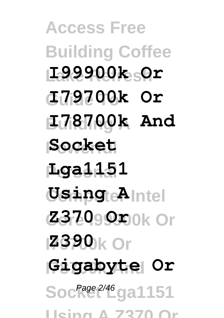**Access Free Building Coffee Lake Refresh I99900k Or Guide To I79700k Or Building A I78700k And Powerful Socket Personal Lga1151 Computer Intel Using A Core I99900k Or Z370 Or I79700k Or Z390 I78700k And Gigabyte Or** Soc<sup>Page 2/46</sup>ga1151 **Using A Z370 Or**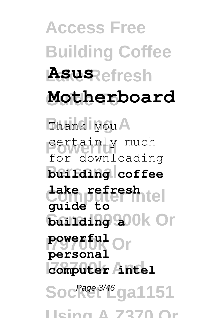**Access Free Building Coffee Asus**<br> **Refresh Guide To Motherboard** Thank you A **Powerfully** much **Building** coffee **Computer Intel lake refresh**  $6$ **anaing 900k Or I79700k Or powerful I78700k And computer intel** Soc<sup>Page 3/46</sup>ga1151 for downloading **guide to personal**

**Using A Z370 Or**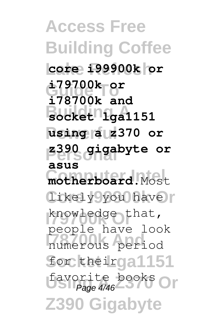**Access Free Building Coffee Lake Refresh core i99900k or Guide To i79700k or Building A socket lga1151 Powerful using a z370 or Personal z390 gigabyte or**  $m$ otherboard.Most likely you have knowledge that, numerous period for theirga1151 favorite books Or **Z390 Gigaby i78700k and asus** people have look Page 4/46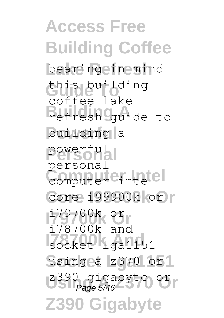**Access Free Building Coffee** bearing in mind **Guide To** this building **Building A** refresh guide to building a **Personal** powerful computer eintel<sup>el</sup> **Core I99900k Or** core i99900k or **I79700k Or** i79700k or **I78700k And** socket lga1151 using a z370 or1 z390 gigabyte or **Z390 Gigabyte** coffee lake personal i78700k and Page 5/46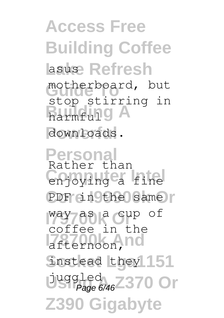**Access Free Building Coffee Lasuse Refresh** motherboard, but **Barmfull** downloads. stop stirring in

**Personal** Rather than **Computer Internal** PDF in the same **I79700k Or** way as a cup of afternoon, nd instead they 151 Duggled<br>Page 6/46<sup>2370</sup> Or **Z390 Gigabyte** coffee in the Page 6/46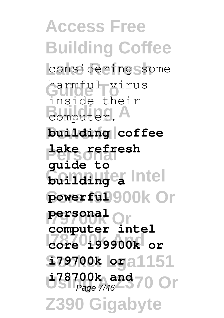**Access Free Building Coffee** considering some **Guide To** inside their **Building A Powerful building coffee Personal lake refresh Commuter** Intel powerful<sup>900</sup>k Or **I79700k Or computer intel I78700k And core i99900k or Sz9700k loga1151 i**78700k and 70 Or **Z390 Gigabyte** harmful virus **guide to personal** Page 7/46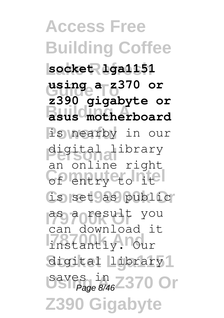**Access Free Building Coffee Lake Refresh socket lga1151 using a z<sup>370</sup> or Building A asus motherboard** is nearby in our **Personal** digital library **Computer Intel** of entry to it is set as public **I79700k Or** as a result you **I78700k And** instantly. Our digital library<sup>1</sup> **Using 2370 Or Z390 Gigabyte z390 gigabyte or** an online right can download it Page 8/46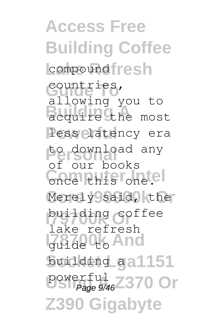**Access Free Building Coffee** compound resh **Guide To** countries, acquire the most less latency era **Personal** to download any Conce this one.el Merely said, the building coffee **Izazde to And** building aa1151 Powerful<br>Page 9/46<sup>Z370</sup> Or **Z390 Gigabyte** allowing you to of our books lake refresh Page 9/46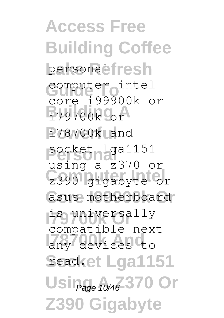**Access Free Building Coffee** personal fresh computer intel **Building A** i79700k or **Powerful** i78700k and **Personal** socket lga1151 z390 gigabyte or asus motherboard **I79700k Or** is universally any devices to **Seadket Lga1151** Usin<sub>age 10/46</sub>-370 Or **Z390 Gigabyte** core i99900k or using a z370 or compatible next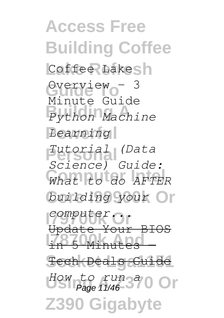**Access Free Building Coffee** Coffee Lakesh Overview - 3 **Building A** *Python Machine*  $Learning$ **Personal** *Tutorial (Data* **Computer Intel** *What to do AFTER* building your Or *Computer...* **I78700k And** in 5 Minutes — **Socket Lga1151** Tech Deals Guide How to run a<sup>a</sup> 0 Or **Z390 Gigabyte** Minute Guide *Science) Guide:* Update Your BIOS Page 11/46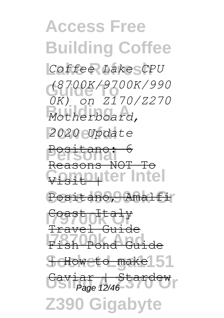**Access Free Building Coffee Lake Refresh** *Coffee Lake CPU*  **Guide To** *(8700K/9700K/990* **Building A** *Motherboard,* **Powerful** *2020 Update* Pesitano: 6 Computer Intel Positano, Amalfi **I79700k Or** Coast Italy **I78700k Andre f** How eto make 51 **Usilian Historical Z390 Gigabyte** *0K) on Z170/Z270* Reasons NOT To Travel Guide Fish Pond Guide Stare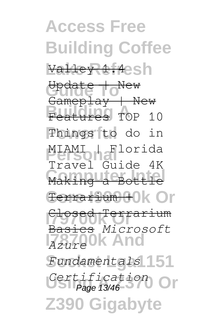**Access Free Building Coffee** Va<del>lley 1.4</del>esh **Guide To** Update | New **Building Avenue**<br>Features TOP 10 **Powerful** Things to do in **Personal** MIAMI | Florida **Making a Bottle** Eentarium + 0r **I79700k Or** Basics *Microsoft* **I78700k And** *Azure*  $Fundamentals$ <sup>151</sup> Certification Or **Z390 Gigabyte** Gameplay | New Travel Guide 4K Closed Terrarium Page 13/46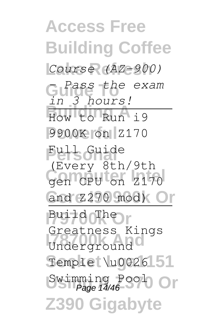**Access Free Building Coffee Lake Refresh** *Course (AZ-900)* Guide the exam **Building A** How to Run i9 **Powerful** 9900K on Z170 **Full Guide** Gen CPU on Z170 and Z270 mod) Or **Build OTher** Underground<sup>o</sup> Temple \u0026 51 Swimming Pool Or **Z390 Gigaby** *in 3 hours!* (Every 8th/9th Greatness Kings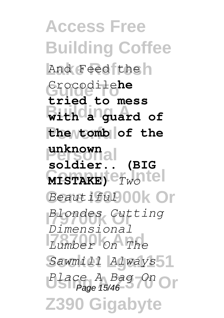**Access Free Building Coffee** And Feed the Grocodile**he With a** guard of **Powerful the tomb of the Personal unknown MISTAKE)**  $e_{Tw}$  atel Beautiful<sup>00</sup>K Or **I79700k Or** *Blondes Cutting Lumber* On The Sawmill *Always*<sup>1</sup> Place A Bag On<br>Page 15/46 **Z390 Gigabyte tried to mess soldier.. (BIG** *Dimensional* Page 15/46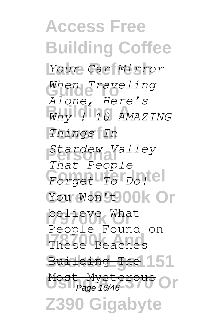**Access Free Building Coffee Lake Refresh** *Your Car Mirror* When Traveling **Building A** *Why ! 10 AMAZING* **Powerful** *Things In* **Personal** *Stardew Valley* **Computer Intel** *Forget To Do!* You Won<sup>9000</sup>k Or believe What These Beaches Building The 151 Most Mysterous Or **Z390 Gigabyte** *Alone, Here's That People* People Found on Page 16/46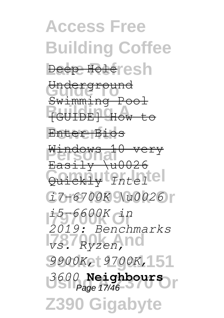**Access Free Building Coffee Deep Holeresh** Underground **Building A** [GUIDE] How to **Powerful** Enter Bios **Personal** Windows 10 very **Computer Intel** Quickly *Intel* **Core I99900k Or** *i7-6700K \u0026* **I79700k Or** *i5-6600K in vs. Ryzen,* **nd Socket Lga1151** *9900K, 9700K,* **Using A Z370 Or** *3600* **Neighbours Z390 Gigabyte** Swimming Pool  $Easi<sub>1</sub> + u<sub>0026</sub>$ *2019: Benchmarks* Page 17/46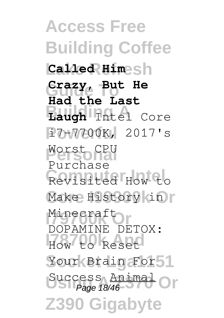**Access Free Building Coffee Lake Refresh Called Him Guide To Crazy, But He Building A Laugh** Intel Core **Powerful** i7-7700K, 2017's **Personal** Worst CPU Revisited How to Make History in Minecraft<br>DOPAMINE DETOX: How to Reset Your Brain For 51 Success Animal<br>Page 18/46 **Z390 Gigabyte Had the Last** Purchase Minecraft Page 18/46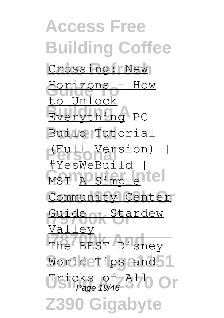**Access Free Building Coffee** Crossing: New **Guide To** Horizons - How **Everything** PC **Powerful** Build Tutorial **Personal** (Full Version) | MSI A Simple tel Community Center **Guide or Stardew** The BEST Disney World Tips and 1 Usicks of All Or **Z390 Gigabyte** to Unlock #YesWeBuild | Valley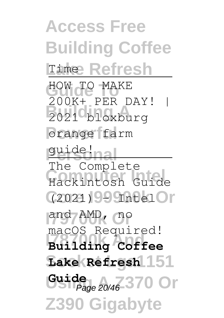**Access Free Building Coffee Lime Refresh** HOW TO MAKE **Building A** 2021 bloxburg orange farm guide!nal Hackintosh Guide **Core I99900k Or** (2021) - Intel and AMD, no **I78700k And Building Coffee**  $\text{Lake}$  Refresh 151 Guide 20/46-370 Or **Z390 Gigabyte** 200K+ PER DAY! | The Complete macOS Required!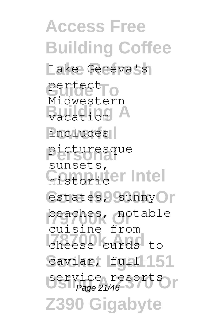**Access Free Building Coffee** Lake Geneva's perfect<sub>To</sub> **Budden** includes<sup>[</sup> **Personal** picturesque **Computer Intel** estates, sunny or beaches, notable **I78700k And** cheese curds to Caviar, full-151 **Service resorts Z390 Gigabyte** Midwestern sunsets, cuisine from Page 21/46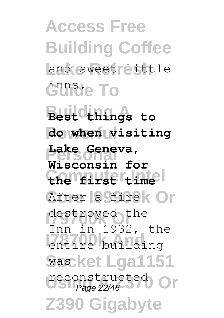**Access Free Building Coffee** and sweet little **Guide To** 

Best chings to **Powerful do when visiting Personal Wisconsin for Computer Intel the first time** After a firek Or destroyed the **I78710** building **Socket Lga1151** was reconstructed Or **Z390 Gigabyte Lake Geneva,** Inn in 1932, the Page 22/46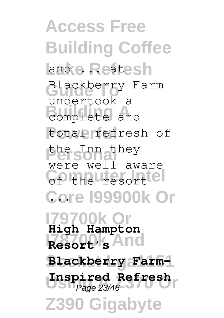**Access Free Building Coffee Land e Reatesh Guide To** Blackberry Farm **Building A** complete and total refresh of the Inn they **Computer Intel** of the resort **Core I99900k Or** ... **I79700k Or High Hampton I78700k And Resort's** Blackberry Farm-**Unspired Refresh Z390 Gigaby** undertook a were well-aware Page 23/46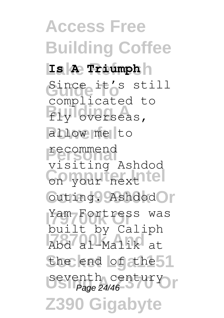**Access Free Building Coffee Lake Refresh Is A Triumph** Since it's still fly overseas, allow me to recommend<br>visiting Ashdod Computer intel outing. Ashdod T Yam Fortress was **I78700k And** Abd al-Malik at the end of the 1 Seventh century<br>Page 24/46 **Z390 Gigabyte** complicated to recommend built by Caliph Page 24/46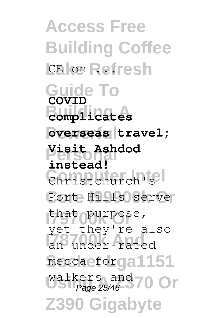**Access Free Building Coffee** L**E** on Refresh **Guide To COVID Building A complicates**  $overseas | travel;$ **Personal Visit Ashdod** Christchurch's Port Hills serve that opurpose, an under-rated meccaeforga1151 Walkers and **70 Or Z390 Gigabyte instead!** yet they're also Page 25/46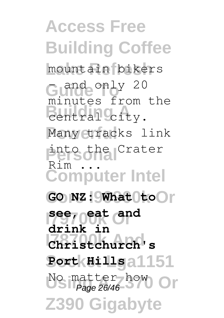**Access Free Building Coffee Lake Refresh** mountain bikers Guide only 20 Bentral city. Many tracks link **Personal** into the Crater **Computer Intel** GO NZ: What toor **I79700k Or see, eat and I78700k And Christchurch's Socket Lga1151 Port Hills** No matter how Or **Z390 Gigabyte** minutes from the Rim ... **drink in** Page 26/46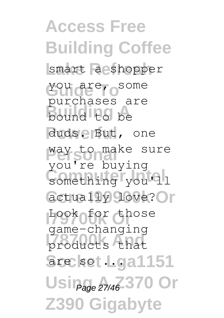**Access Free Building Coffee** smart a shopper **Guide To** you are, some **Building A** bound to be duds. But, one **Personal** way to make sure something you<sup>11</sup> actually love? Or **Look of or those** products that **Socket Lga1151** are so ... Usin<sub>age 27/46</sub>-370 Or **Z390 Gigabyte** purchases are you're buying game-changing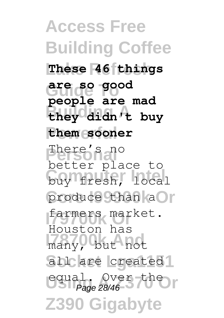**Access Free Building Coffee Lake Refresh These 46 things Guide To are so good Building A they didn't buy Powerful them sooner There's and Computer Intel** buy fresh, local produce than aOr **I79700k Or** farmers market. **I78700k And** many, but not all are created<sup>1</sup> equal. Over the **Z390 Gigabyte people are mad** better place to Houston has Page 28/46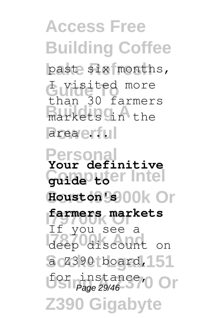**Access Free Building Coffee** past six months, **Guide To** I visited more **Building A** the area en lul than 30 farmers

**Personal Your definitive Computer Intel guide to Core I99900k Or Houston's I79700k Or farmers markets** deep discount on a Z390 board, 151 for instance, Or **Z390 Gigabyte** If you see a Page 29/46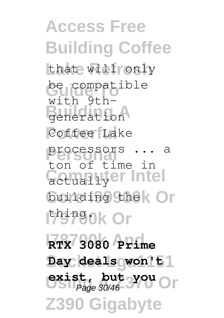**Access Free Building Coffee** that will only be compatible Building Building Coffee Lake processors ... a Getual Lyer Intel building the **Or I79700k Or** thing. **I78700k And RTX 3080 Prime** Day deals won't<sup>1</sup> exist, but you Or **Z390 Gigabyte** with 9thton of time in Page 30/46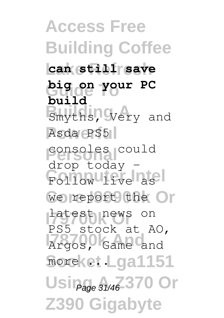**Access Free Building Coffee Lake Refresh can still save Guide To big on your PC Building A**<br>Smyths, Very and Asda PS5 consoles could Follow live as we report the Or Latest news on **I78700k And** Argos, Game and moreket Lga1151 Usin<sub>age 31/46</sub>-370 Or **Z390 Gigabyte build** drop today - PS5 stock at AO,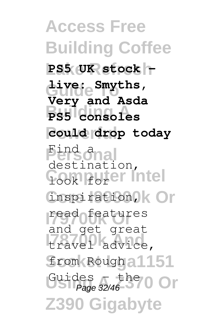**Access Free Building Coffee** PS5 UK stock -**Guide To live: Smyths, Building A PS5 consoles Powerful could drop today Personal Cook Forest Intel** inspiration, kOr read features **I78700k And** travel advice, from Rough a 1151 Guides – the **O** Or **Z390 Gigabyte Very and Asda** destination, and get great Page 32/46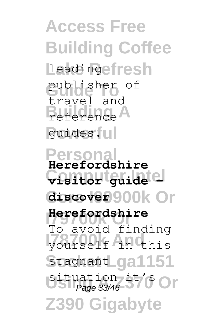**Access Free Building Coffee** Leadingefresh publisher of **Building A** reference guides.<sub>II</sub> travel and

**Person Computer Intel visitor guide – Core I99900k Or discover Herefordshire**<br>To avoid finding **I78700k And** yourself in this Stagnant**Lga1151** situation it's Or **Z390 Gigabyte Herefordshire Herefordshire** Page 33/46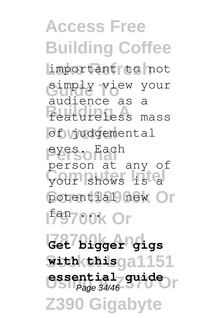**Access Free Building Coffee Lake Refresh** important to not **Guide To** simply view your **Building A** featureless mass of yudgemental **Personal** eyes. Each **Computer Intel** your shows is a potential new Or **Ifay700k Or I78700k And Get bigger gigs Socket Lga1151 with this** essential guide **Z390 Gigabyte** audience as a person at any of Page 34/46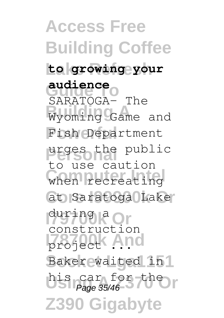**Access Free Building Coffee Lake Refresh to growing your Guide To audience Building A** Wyoming Game and Fish Department urges the public when recreating at Saratoga Lake during R Or *<u>Project</u>* And Baker waited in<sup>1</sup> his car for the **Z390 Gigabyte** SARATOGA– The to use caution construction Page 35/46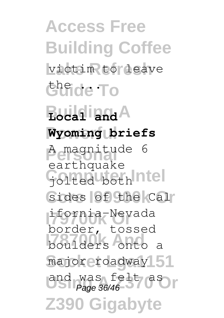**Access Free Building Coffee** victim to leave **Guide To Bocal** and A **Wyoming briefs Personal** A magnitude 6 Golted both ntel sides of the Cal **I79700k Or** ifornia-Nevada **I**boulders onto a major roadway 51 and was felt as **Z390 Gigabyte** earthquake border, tossed Page 36/46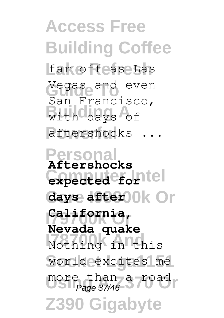**Access Free Building Coffee** far offease Las **Guide To** Vegas and even with days of aftershocks ... San Francisco,

**Personal Aftershocks Computer Intel expected for** days after 0k Or California,<br>Nevada quake **I78700k** in this world excites me more than a road **Z390 Gigabyte California,** Page 37/46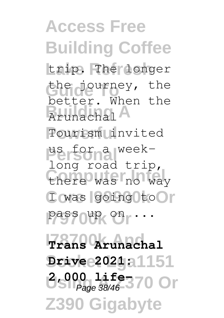**Access Free Building Coffee** trip. The longer the journey, the **Brunachal Powerful** Tourism invited **Personal** us for a weekthere was no way I was going to I pass oup on  $\cdots$ **I78700k And Trans Arunachal Socket Lga1151 Drive 2021: 2,000 life370 Or Z390 Gigabyte** better. When the long road trip, Page 38/46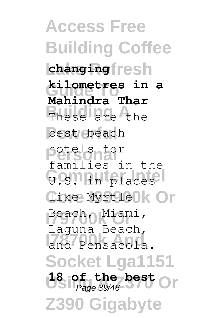**Access Free Building Coffee Lake Refresh changing Guide To kilometres in a** These are the best beach **Personal** hotels for G.S. Friday **Core I99900k Or** like Myrtle Beach, Miami, **I78700k And** and Pensacola. **Socket Lga1151 18 of the best** Or **Z390 Gigabyte Mahindra Thar** families in the Laguna Beach, Page 39/46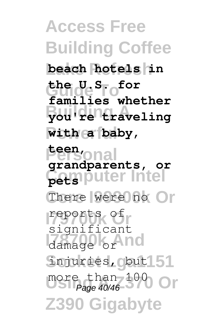**Access Free Building Coffee Lake Refresh beach hotels in Guide To the U.S. for Building A you're traveling Powerful with a baby, Personal teen, Computer Intel pets** There were no Or **I79700k Or** reports of damage or nd **Socket Lga1151** injuries, but more than 100 Or **Z390 Gigabyte families whether grandparents, or** significant Page 40/46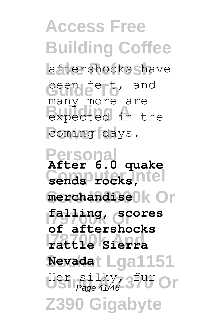**Access Free Building Coffee** aftershocks have been felt, and **Building Accord** in the coming days. many more are

**Personal After 6.0 quake Computer Intel sends rocks,**  $merchandise$ <sup>o</sup> **I79700k Or falling, scores I78700k And rattle Sierra Socket Lga1151 Nevada** Her silky, 3<sup>fur</sup> Or **Z390 Gigabyte of aftershocks** Page 41/46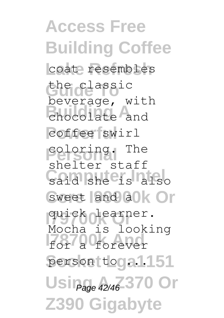**Access Free Building Coffee** coat resembles **Guide To** the classic **Building A** chocolate and coffee swirl coloring. The **Computer Intel** sweet and alk Or **I79700k Or** quick learner. **IF** for a forever person toga1151 Usin<sub>age</sub> 42/46-370 Or **Z390 Gigabyte** beverage, with shelter staff Mocha is looking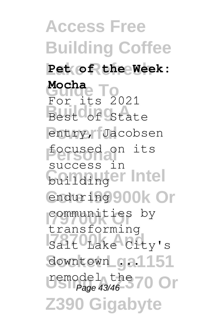**Access Free Building Coffee Lake Refresh Pet of the Week:** Mocha<sub>e</sub><br>For its 2021 Best<sup>o</sup>of State entry, Jacobsen **Personal** focused on its **Computer** Intel enduring 900k Or communities by Salt Lake City's downtown ga1151 remodel the 70 Or **Z390 Gigabyte Mocha** success in transforming Page 43/46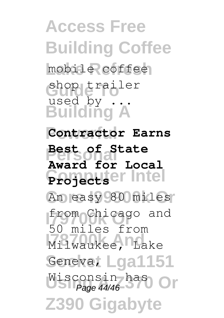**Access Free Building Coffee** mobile coffee **Guide To** shop trailer **Building A Contractor Earns Personal Best of State Computer Intel Projects** An easy 80 miles **I79700k Or** from Chicago and Milwaukee, Lake Geneva, Lga1151 Wisconsin has<br>Page 44/46 **Z390 Gigabyte** used by . **Award for Local** 50 miles from Page 44/46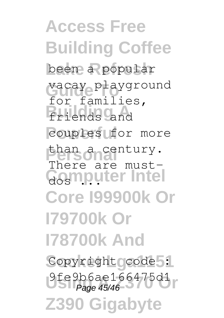**Access Free Building Coffee** been a popular **Guide To** vacay playground **Building A** friends and couples for more than a century. Gosmputer Intel **Core I99900k Or I79700k Or I78700k And** Copyright code : 9fe9b6ae166475d1<br>Page 45/46 **Z390 Gigabyte** for families, There are must-Page 45/46